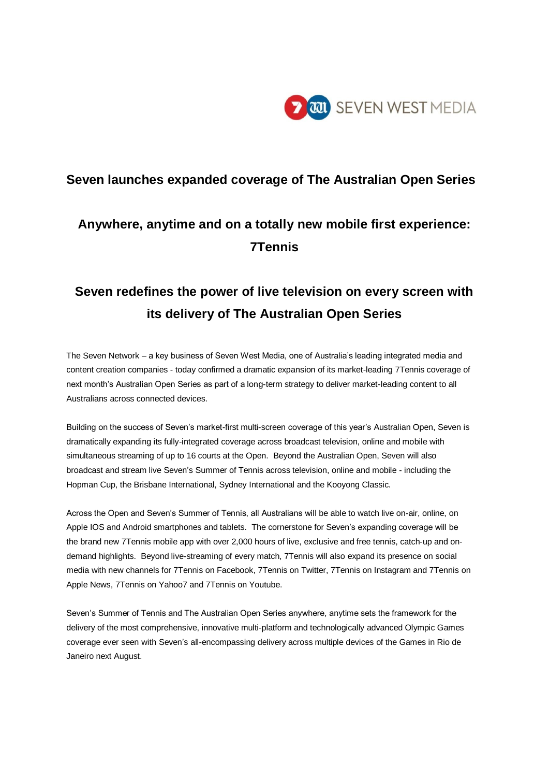

# **Seven launches expanded coverage of The Australian Open Series**

# **Anywhere, anytime and on a totally new mobile first experience: 7Tennis**

# **Seven redefines the power of live television on every screen with its delivery of The Australian Open Series**

The Seven Network – a key business of Seven West Media, one of Australia's leading integrated media and content creation companies - today confirmed a dramatic expansion of its market-leading 7Tennis coverage of next month's Australian Open Series as part of a long-term strategy to deliver market-leading content to all Australians across connected devices.

Building on the success of Seven's market-first multi-screen coverage of this year's Australian Open, Seven is dramatically expanding its fully-integrated coverage across broadcast television, online and mobile with simultaneous streaming of up to 16 courts at the Open. Beyond the Australian Open, Seven will also broadcast and stream live Seven's Summer of Tennis across television, online and mobile - including the Hopman Cup, the Brisbane International, Sydney International and the Kooyong Classic.

Across the Open and Seven's Summer of Tennis, all Australians will be able to watch live on-air, online, on Apple IOS and Android smartphones and tablets. The cornerstone for Seven's expanding coverage will be the brand new 7Tennis mobile app with over 2,000 hours of live, exclusive and free tennis, catch-up and ondemand highlights. Beyond live-streaming of every match, 7Tennis will also expand its presence on social media with new channels for 7Tennis on Facebook, 7Tennis on Twitter, 7Tennis on Instagram and 7Tennis on Apple News, 7Tennis on Yahoo7 and 7Tennis on Youtube.

Seven's Summer of Tennis and The Australian Open Series anywhere, anytime sets the framework for the delivery of the most comprehensive, innovative multi-platform and technologically advanced Olympic Games coverage ever seen with Seven's all-encompassing delivery across multiple devices of the Games in Rio de Janeiro next August.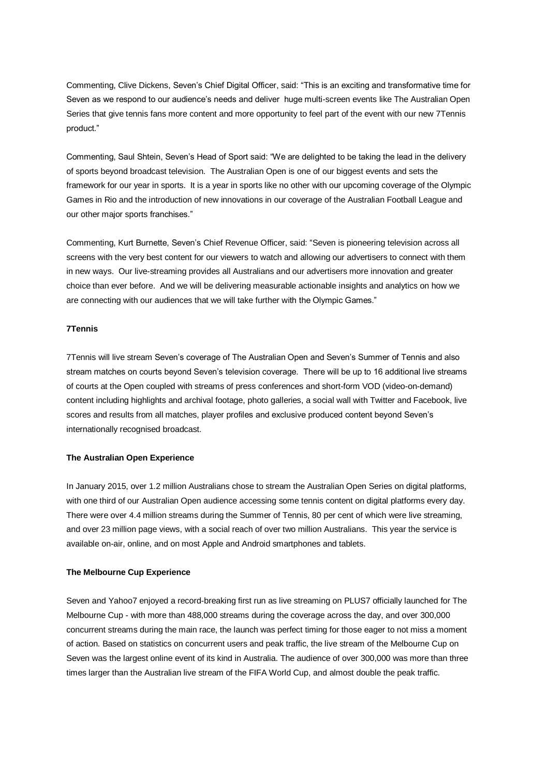Commenting, Clive Dickens, Seven's Chief Digital Officer, said: "This is an exciting and transformative time for Seven as we respond to our audience's needs and deliver huge multi-screen events like The Australian Open Series that give tennis fans more content and more opportunity to feel part of the event with our new 7Tennis product."

Commenting, Saul Shtein, Seven's Head of Sport said: "We are delighted to be taking the lead in the delivery of sports beyond broadcast television. The Australian Open is one of our biggest events and sets the framework for our year in sports. It is a year in sports like no other with our upcoming coverage of the Olympic Games in Rio and the introduction of new innovations in our coverage of the Australian Football League and our other major sports franchises."

Commenting, Kurt Burnette, Seven's Chief Revenue Officer, said: "Seven is pioneering television across all screens with the very best content for our viewers to watch and allowing our advertisers to connect with them in new ways. Our live-streaming provides all Australians and our advertisers more innovation and greater choice than ever before. And we will be delivering measurable actionable insights and analytics on how we are connecting with our audiences that we will take further with the Olympic Games."

#### **7Tennis**

7Tennis will live stream Seven's coverage of The Australian Open and Seven's Summer of Tennis and also stream matches on courts beyond Seven's television coverage. There will be up to 16 additional live streams of courts at the Open coupled with streams of press conferences and short-form VOD (video-on-demand) content including highlights and archival footage, photo galleries, a social wall with Twitter and Facebook, live scores and results from all matches, player profiles and exclusive produced content beyond Seven's internationally recognised broadcast.

#### **The Australian Open Experience**

In January 2015, over 1.2 million Australians chose to stream the Australian Open Series on digital platforms, with one third of our Australian Open audience accessing some tennis content on digital platforms every day. There were over 4.4 million streams during the Summer of Tennis, 80 per cent of which were live streaming, and over 23 million page views, with a social reach of over two million Australians. This year the service is available on-air, online, and on most Apple and Android smartphones and tablets.

# **The Melbourne Cup Experience**

Seven and Yahoo7 enjoyed a record-breaking first run as live streaming on PLUS7 officially launched for The Melbourne Cup - with more than 488,000 streams during the coverage across the day, and over 300,000 concurrent streams during the main race, the launch was perfect timing for those eager to not miss a moment of action. Based on statistics on concurrent users and peak traffic, the live stream of the Melbourne Cup on Seven was the largest online event of its kind in Australia. The audience of over 300,000 was more than three times larger than the Australian live stream of the FIFA World Cup, and almost double the peak traffic.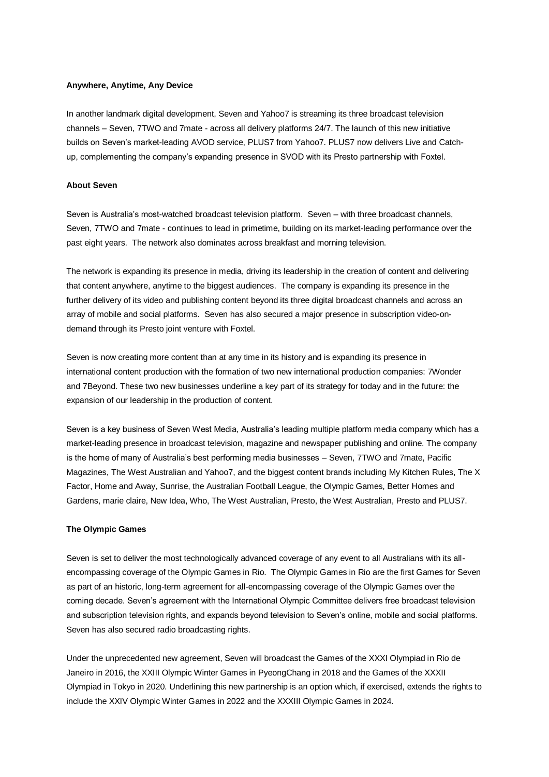### **Anywhere, Anytime, Any Device**

In another landmark digital development, Seven and Yahoo7 is streaming its three broadcast television channels – Seven, 7TWO and 7mate - across all delivery platforms 24/7. The launch of this new initiative builds on Seven's market-leading AVOD service, PLUS7 from Yahoo7. PLUS7 now delivers Live and Catchup, complementing the company's expanding presence in SVOD with its Presto partnership with Foxtel.

# **About Seven**

Seven is Australia's most-watched broadcast television platform. Seven – with three broadcast channels, Seven, 7TWO and 7mate - continues to lead in primetime, building on its market-leading performance over the past eight years. The network also dominates across breakfast and morning television.

The network is expanding its presence in media, driving its leadership in the creation of content and delivering that content anywhere, anytime to the biggest audiences. The company is expanding its presence in the further delivery of its video and publishing content beyond its three digital broadcast channels and across an array of mobile and social platforms. Seven has also secured a major presence in subscription video-ondemand through its Presto joint venture with Foxtel.

Seven is now creating more content than at any time in its history and is expanding its presence in international content production with the formation of two new international production companies: 7Wonder and 7Beyond. These two new businesses underline a key part of its strategy for today and in the future: the expansion of our leadership in the production of content.

Seven is a key business of Seven West Media, Australia's leading multiple platform media company which has a market-leading presence in broadcast television, magazine and newspaper publishing and online. The company is the home of many of Australia's best performing media businesses – Seven, 7TWO and 7mate, Pacific Magazines, The West Australian and Yahoo7, and the biggest content brands including My Kitchen Rules, The X Factor, Home and Away, Sunrise, the Australian Football League, the Olympic Games, Better Homes and Gardens, marie claire, New Idea, Who, The West Australian, Presto, the West Australian, Presto and PLUS7.

## **The Olympic Games**

Seven is set to deliver the most technologically advanced coverage of any event to all Australians with its allencompassing coverage of the Olympic Games in Rio. The Olympic Games in Rio are the first Games for Seven as part of an historic, long-term agreement for all-encompassing coverage of the Olympic Games over the coming decade. Seven's agreement with the International Olympic Committee delivers free broadcast television and subscription television rights, and expands beyond television to Seven's online, mobile and social platforms. Seven has also secured radio broadcasting rights.

Under the unprecedented new agreement, Seven will broadcast the Games of the XXXI Olympiad in Rio de Janeiro in 2016, the XXIII Olympic Winter Games in PyeongChang in 2018 and the Games of the XXXII Olympiad in Tokyo in 2020. Underlining this new partnership is an option which, if exercised, extends the rights to include the XXIV Olympic Winter Games in 2022 and the XXXIII Olympic Games in 2024.